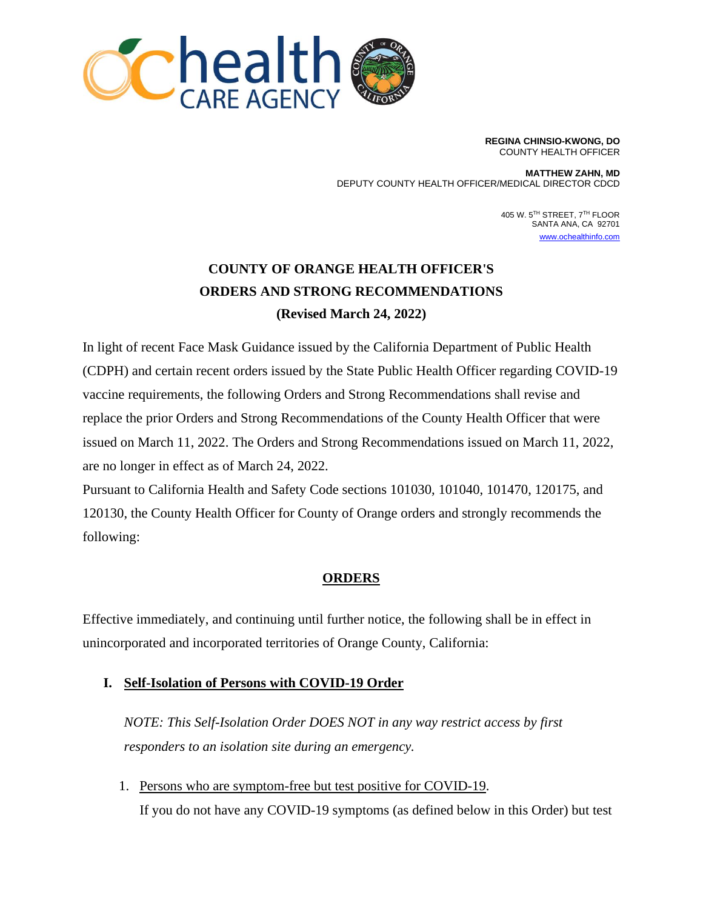

**REGINA CHINSIO-KWONG, DO** COUNTY HEALTH OFFICER

**MATTHEW ZAHN, MD** DEPUTY COUNTY HEALTH OFFICER/MEDICAL DIRECTOR CDCD

> 405 W. 5<sup>th</sup> STREET, 7<sup>th</sup> FLOOR SANTA ANA, CA 92701 [www.ochealthinfo.com](http://www.ochealthinfo.com/)

# **COUNTY OF ORANGE HEALTH OFFICER'S ORDERS AND STRONG RECOMMENDATIONS (Revised March 24, 2022)**

In light of recent Face Mask Guidance issued by the California Department of Public Health (CDPH) and certain recent orders issued by the State Public Health Officer regarding COVID-19 vaccine requirements, the following Orders and Strong Recommendations shall revise and replace the prior Orders and Strong Recommendations of the County Health Officer that were issued on March 11, 2022. The Orders and Strong Recommendations issued on March 11, 2022, are no longer in effect as of March 24, 2022.

Pursuant to California Health and Safety Code sections 101030, 101040, 101470, 120175, and 120130, the County Health Officer for County of Orange orders and strongly recommends the following:

### **ORDERS**

Effective immediately, and continuing until further notice, the following shall be in effect in unincorporated and incorporated territories of Orange County, California:

### **I. Self-Isolation of Persons with COVID-19 Order**

*NOTE: This Self-Isolation Order DOES NOT in any way restrict access by first responders to an isolation site during an emergency.*

1. Persons who are symptom-free but test positive for COVID-19. If you do not have any COVID-19 symptoms (as defined below in this Order) but test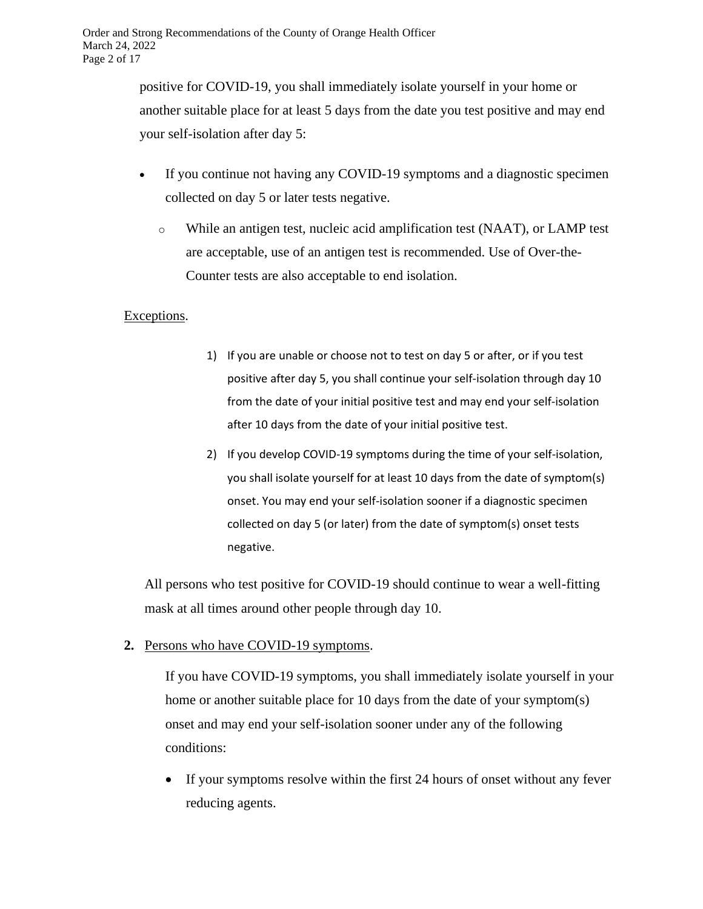positive for COVID-19, you shall immediately isolate yourself in your home or another suitable place for at least 5 days from the date you test positive and may end your self-isolation after day 5:

- If you continue not having any COVID-19 symptoms and a diagnostic specimen collected on day 5 or later tests negative.
	- o While an antigen test, nucleic acid amplification test (NAAT), or LAMP test are acceptable, use of an antigen test is recommended. Use of Over-the-Counter tests are also acceptable to end isolation.

### Exceptions.

- 1) If you are unable or choose not to test on day 5 or after, or if you test positive after day 5, you shall continue your self-isolation through day 10 from the date of your initial positive test and may end your self-isolation after 10 days from the date of your initial positive test.
- 2) If you develop COVID-19 symptoms during the time of your self-isolation, you shall isolate yourself for at least 10 days from the date of symptom(s) onset. You may end your self-isolation sooner if a diagnostic specimen collected on day 5 (or later) from the date of symptom(s) onset tests negative.

All persons who test positive for COVID-19 should continue to wear a well-fitting mask at all times around other people through day 10.

**2.** Persons who have COVID-19 symptoms.

If you have COVID-19 symptoms, you shall immediately isolate yourself in your home or another suitable place for 10 days from the date of your symptom(s) onset and may end your self-isolation sooner under any of the following conditions:

• If your symptoms resolve within the first 24 hours of onset without any fever reducing agents.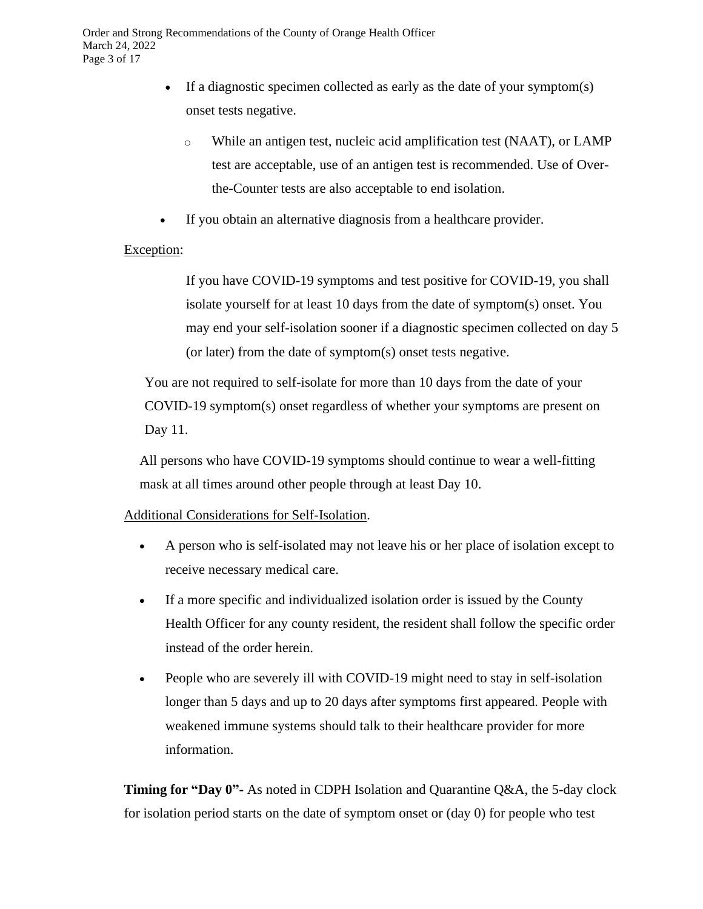- If a diagnostic specimen collected as early as the date of your symptom(s) onset tests negative.
	- o While an antigen test, nucleic acid amplification test (NAAT), or LAMP test are acceptable, use of an antigen test is recommended. Use of Overthe-Counter tests are also acceptable to end isolation.
- If you obtain an alternative diagnosis from a healthcare provider.

### Exception:

If you have COVID-19 symptoms and test positive for COVID-19, you shall isolate yourself for at least 10 days from the date of symptom(s) onset. You may end your self-isolation sooner if a diagnostic specimen collected on day 5 (or later) from the date of symptom(s) onset tests negative.

You are not required to self-isolate for more than 10 days from the date of your COVID-19 symptom(s) onset regardless of whether your symptoms are present on Day 11.

All persons who have COVID-19 symptoms should continue to wear a well-fitting mask at all times around other people through at least Day 10.

### Additional Considerations for Self-Isolation.

- A person who is self-isolated may not leave his or her place of isolation except to receive necessary medical care.
- If a more specific and individualized isolation order is issued by the County Health Officer for any county resident, the resident shall follow the specific order instead of the order herein.
- People who are severely ill with COVID-19 might need to stay in self-isolation longer than 5 days and up to 20 days after symptoms first appeared. People with weakened immune systems should talk to their healthcare provider for more information.

**Timing for "Day 0"-** As noted in [CDPH Isolation and Quarantine Q&A,](https://www.cdph.ca.gov/Programs/CID/DCDC/Pages/COVID-19/Isolation-Quarantine-QA.aspx) the 5-day clock for isolation period starts on the date of symptom onset or (day 0) for people who test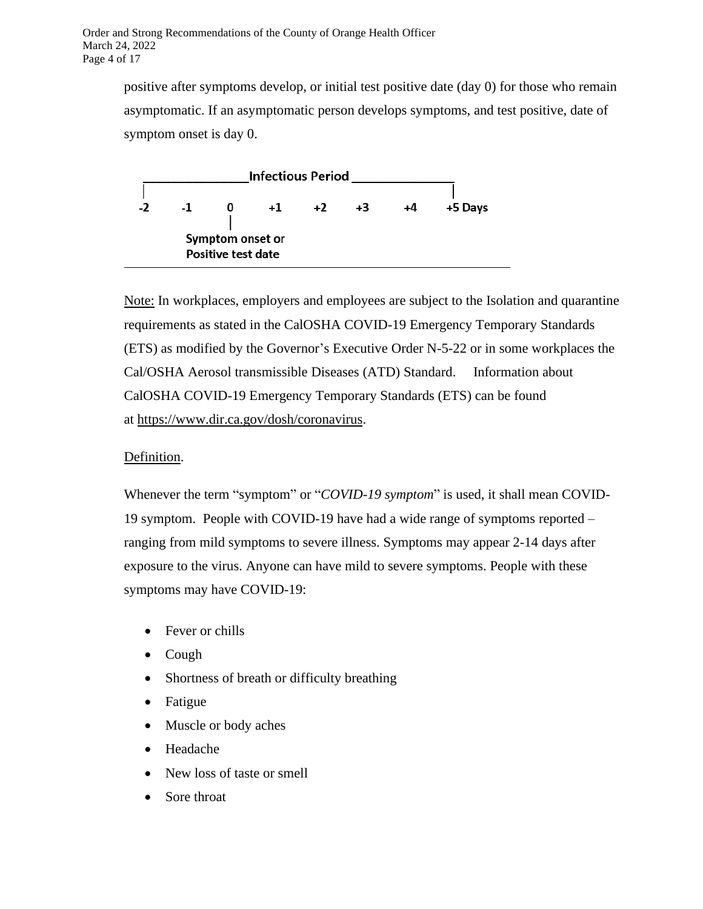positive after symptoms develop, or initial test positive date (day 0) for those who remain asymptomatic. If an asymptomatic person develops symptoms, and test positive, date of symptom onset is day 0.



Note: In workplaces, employers and employees are subject to the Isolation and quarantine requirements as stated in the CalOSHA COVID-19 Emergency Temporary Standards (ETS) as modified by the Governor's Executive Order N-5-22 or in some workplaces the Cal/OSHA Aerosol transmissible Diseases (ATD) Standard. Information about CalOSHA COVID-19 Emergency Temporary Standards (ETS) can be found at [https://www.dir.ca.gov/dosh/coronavirus.](https://www.dir.ca.gov/dosh/coronavirus)

### Definition.

Whenever the term "symptom" or "*COVID-19 symptom*" is used, it shall mean COVID-19 symptom. People with COVID-19 have had a wide range of symptoms reported – ranging from mild symptoms to severe illness. Symptoms may appear 2-14 days after exposure to the virus. Anyone can have mild to severe symptoms. People with these symptoms may have COVID-19:

- Fever or chills
- Cough
- Shortness of breath or difficulty breathing
- Fatigue
- Muscle or body aches
- Headache
- New loss of taste or smell
- Sore throat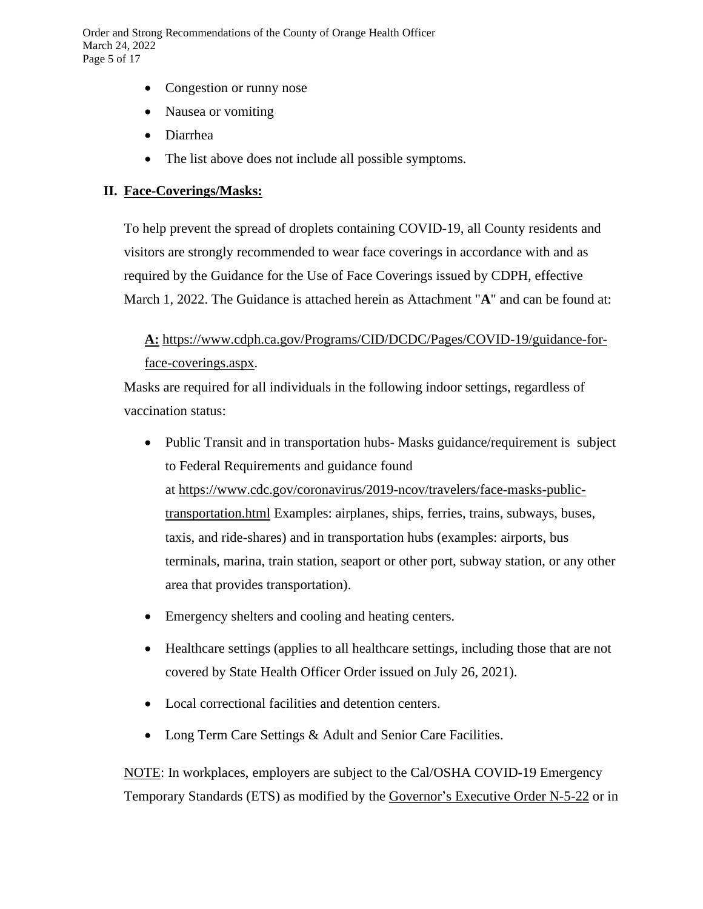Order and Strong Recommendations of the County of Orange Health Officer March 24, 2022 Page 5 of 17

- Congestion or runny nose
- Nausea or vomiting
- Diarrhea
- The list above does not include all possible symptoms.

#### **II. Face-Coverings/Masks:**

To help prevent the spread of droplets containing COVID-19, all County residents and visitors are strongly recommended to wear face coverings in accordance with and as required by the Guidance for the Use of Face Coverings issued by CDPH, effective March 1, 2022. The Guidance is attached herein as Attachment "**A**" and can be found at:

**A:** [https://www.cdph.ca.gov/Programs/CID/DCDC/Pages/COVID-19/guidance-for](https://www.cdph.ca.gov/Programs/CID/DCDC/Pages/COVID-19/guidance-for-face-coverings.aspx)[face-coverings.aspx.](https://www.cdph.ca.gov/Programs/CID/DCDC/Pages/COVID-19/guidance-for-face-coverings.aspx)

Masks are required for all individuals in the following indoor settings, regardless of vaccination status:

- Public Transit and in transportation hubs-Masks guidance/requirement is subject to Federal Requirements and guidance found at [https://www.cdc.gov/coronavirus/2019-ncov/travelers/face-masks-public](https://www.cdc.gov/coronavirus/2019-ncov/travelers/face-masks-public-transportation.html)[transportation.html](https://www.cdc.gov/coronavirus/2019-ncov/travelers/face-masks-public-transportation.html) Examples: airplanes, ships, ferries, trains, subways, buses, taxis, and ride-shares) and in transportation hubs (examples: airports, bus terminals, marina, train station, seaport or other port, subway station, or any other area that provides transportation).
- Emergency shelters and cooling and heating centers.
- Healthcare settings (applies to all healthcare settings, including those that are not covered by State Health Officer Order issued on July 26, 2021).
- Local correctional facilities and detention centers.
- Long Term Care Settings & Adult and Senior Care Facilities.

NOTE: In workplaces, employers are subject to the Cal/OSHA COVID-19 Emergency Temporary Standards (ETS) as modified by the [Governor's](https://www.gov.ca.gov/wp-content/uploads/2022/02/2.28.22-ETS-EO.pdf) Executive Order N-5-22 or in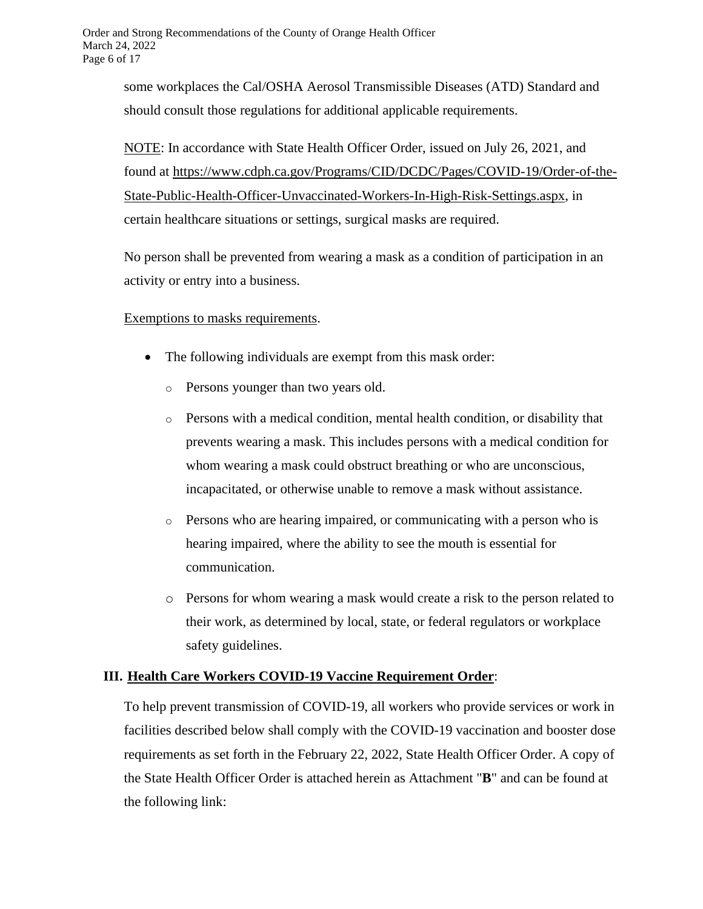some workplaces the Cal/OSHA Aerosol Transmissible Diseases (ATD) Standard and should consult those regulations for additional applicable requirements.

NOTE: In accordance with State Health Officer Order, issued on July 26, 2021, and found at [https://www.cdph.ca.gov/Programs/CID/DCDC/Pages/COVID-19/Order-of-the-](https://www.cdph.ca.gov/Programs/CID/DCDC/Pages/COVID-19/Order-of-the-State-Public-Health-Officer-Unvaccinated-Workers-In-High-Risk-Settings.aspx)[State-Public-Health-Officer-Unvaccinated-Workers-In-High-Risk-Settings.aspx,](https://www.cdph.ca.gov/Programs/CID/DCDC/Pages/COVID-19/Order-of-the-State-Public-Health-Officer-Unvaccinated-Workers-In-High-Risk-Settings.aspx) in certain healthcare situations or settings, surgical masks are required.

No person shall be prevented from wearing a mask as a condition of participation in an activity or entry into a business.

### Exemptions to masks requirements.

- The following individuals are exempt from this mask order:
	- o Persons younger than two years old.
	- $\circ$  Persons with a medical condition, mental health condition, or disability that prevents wearing a mask. This includes persons with a medical condition for whom wearing a mask could obstruct breathing or who are unconscious, incapacitated, or otherwise unable to remove a mask without assistance.
	- $\circ$  Persons who are hearing impaired, or communicating with a person who is hearing impaired, where the ability to see the mouth is essential for communication.
	- o Persons for whom wearing a mask would create a risk to the person related to their work, as determined by local, state, or federal regulators or workplace safety guidelines.

### **III. Health Care Workers COVID-19 Vaccine Requirement Order**:

To help prevent transmission of COVID-19, all workers who provide services or work in facilities described below shall comply with the COVID-19 vaccination and booster dose requirements as set forth in the February 22, 2022, State Health Officer Order. A copy of the State Health Officer Order is attached herein as Attachment "**B**" and can be found at the following link: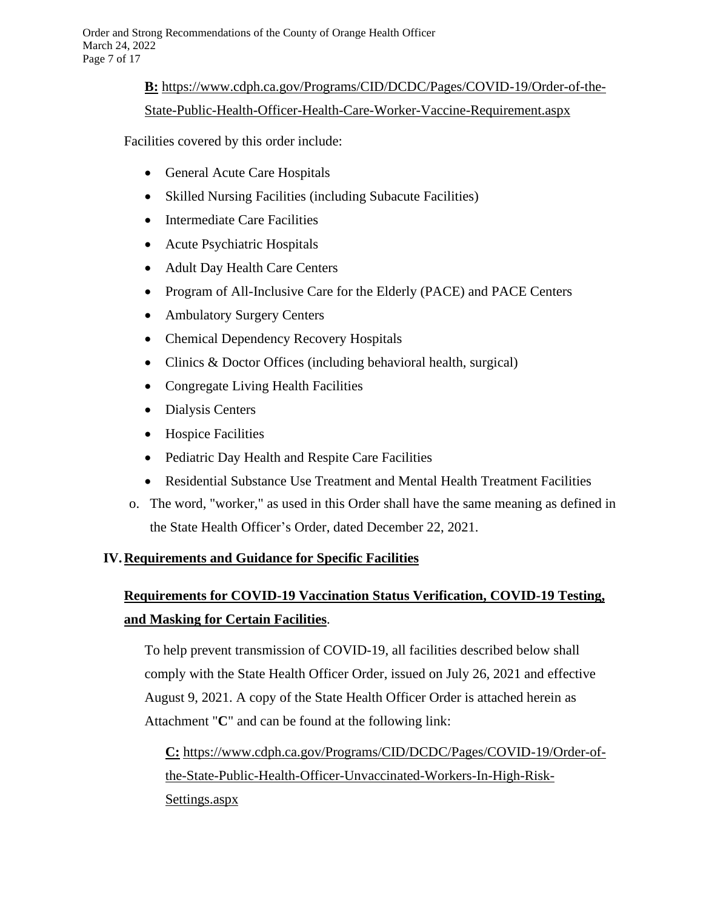## **B:** [https://www.cdph.ca.gov/Programs/CID/DCDC/Pages/COVID-19/Order-of-the-](https://www.cdph.ca.gov/Programs/CID/DCDC/Pages/COVID-19/Order-of-the-State-Public-Health-Officer-Health-Care-Worker-Vaccine-Requirement.aspx)

### [State-Public-Health-Officer-Health-Care-Worker-Vaccine-Requirement.aspx](https://www.cdph.ca.gov/Programs/CID/DCDC/Pages/COVID-19/Order-of-the-State-Public-Health-Officer-Health-Care-Worker-Vaccine-Requirement.aspx)

Facilities covered by this order include:

- General Acute Care Hospitals
- Skilled Nursing Facilities (including Subacute Facilities)
- Intermediate Care Facilities
- Acute Psychiatric Hospitals
- Adult Day Health Care Centers
- Program of All-Inclusive Care for the Elderly (PACE) and PACE Centers
- Ambulatory Surgery Centers
- Chemical Dependency Recovery Hospitals
- Clinics & Doctor Offices (including behavioral health, surgical)
- Congregate Living Health Facilities
- Dialysis Centers
- Hospice Facilities
- Pediatric Day Health and Respite Care Facilities
- Residential Substance Use Treatment and Mental Health Treatment Facilities
- o. The word, "worker," as used in this Order shall have the same meaning as defined in the State Health Officer's Order, dated December 22, 2021.

### **IV.Requirements and Guidance for Specific Facilities**

# **Requirements for COVID-19 Vaccination Status Verification, COVID-19 Testing, and Masking for Certain Facilities**.

To help prevent transmission of COVID-19, all facilities described below shall comply with the State Health Officer Order, issued on July 26, 2021 and effective August 9, 2021. A copy of the State Health Officer Order is attached herein as Attachment "**C**" and can be found at the following link:

**C:** [https://www.cdph.ca.gov/Programs/CID/DCDC/Pages/COVID-19/Order-of](https://www.cdph.ca.gov/Programs/CID/DCDC/Pages/COVID-19/Order-of-the-State-Public-Health-Officer-Unvaccinated-Workers-In-High-Risk-Settings.aspx)[the-State-Public-Health-Officer-Unvaccinated-Workers-In-High-Risk-](https://www.cdph.ca.gov/Programs/CID/DCDC/Pages/COVID-19/Order-of-the-State-Public-Health-Officer-Unvaccinated-Workers-In-High-Risk-Settings.aspx)[Settings.aspx](https://www.cdph.ca.gov/Programs/CID/DCDC/Pages/COVID-19/Order-of-the-State-Public-Health-Officer-Unvaccinated-Workers-In-High-Risk-Settings.aspx)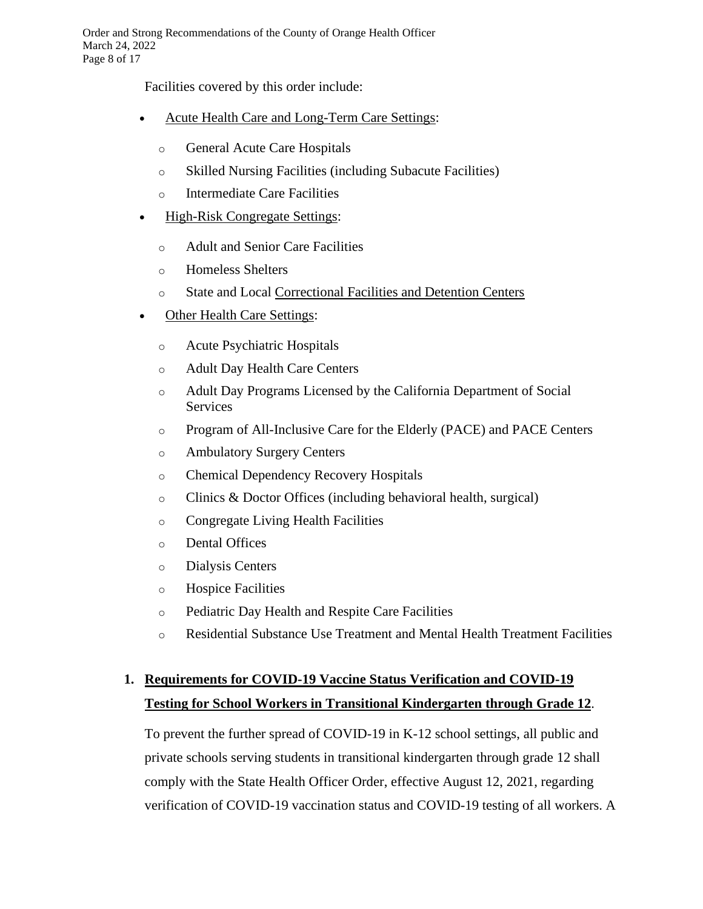Facilities covered by this order include:

- Acute Health Care and Long-Term Care Settings:
	- o General Acute Care Hospitals
	- o Skilled Nursing Facilities (including Subacute Facilities)
	- o Intermediate Care Facilities
- High-Risk Congregate Settings:
	- o Adult and Senior Care Facilities
	- o Homeless Shelters
	- o State and Local [Correctional](https://www.cdc.gov/coronavirus/2019-ncov/community/correction-detention/guidance-correctional-detention.html#infection-control) Facilities and Detention Centers
- Other Health Care Settings:
	- o Acute Psychiatric Hospitals
	- o Adult Day Health Care Centers
	- o Adult Day Programs Licensed by the California Department of Social Services
	- o Program of All-Inclusive Care for the Elderly (PACE) and PACE Centers
	- o Ambulatory Surgery Centers
	- o Chemical Dependency Recovery Hospitals
	- o Clinics & Doctor Offices (including behavioral health, surgical)
	- o Congregate Living Health Facilities
	- o Dental Offices
	- o Dialysis Centers
	- o Hospice Facilities
	- o Pediatric Day Health and Respite Care Facilities
	- o Residential Substance Use Treatment and Mental Health Treatment Facilities

# **1. Requirements for COVID-19 Vaccine Status Verification and COVID-19 Testing for School Workers in Transitional Kindergarten through Grade 12**.

To prevent the further spread of COVID-19 in K-12 school settings, all public and private schools serving students in transitional kindergarten through grade 12 shall comply with the State Health Officer Order, effective August 12, 2021, regarding verification of COVID-19 vaccination status and COVID-19 testing of all workers. A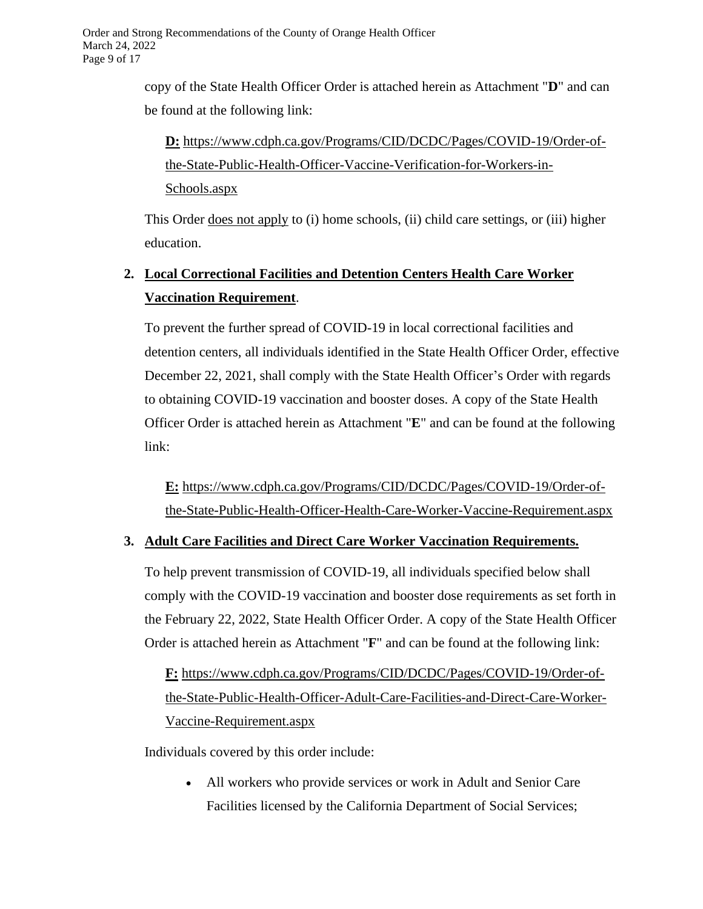copy of the State Health Officer Order is attached herein as Attachment "**D**" and can be found at the following link:

**D:** [https://www.cdph.ca.gov/Programs/CID/DCDC/Pages/COVID-19/Order-of](https://www.cdph.ca.gov/Programs/CID/DCDC/Pages/COVID-19/Order-of-the-State-Public-Health-Officer-Vaccine-Verification-for-Workers-in-Schools.aspx)[the-State-Public-Health-Officer-Vaccine-Verification-for-Workers-in-](https://www.cdph.ca.gov/Programs/CID/DCDC/Pages/COVID-19/Order-of-the-State-Public-Health-Officer-Vaccine-Verification-for-Workers-in-Schools.aspx)[Schools.aspx](https://www.cdph.ca.gov/Programs/CID/DCDC/Pages/COVID-19/Order-of-the-State-Public-Health-Officer-Vaccine-Verification-for-Workers-in-Schools.aspx)

This Order <u>does not apply</u> to (i) home schools, (ii) child care settings, or (iii) higher education.

## **2. Local Correctional Facilities and Detention Centers Health Care Worker Vaccination Requirement**.

To prevent the further spread of COVID-19 in local correctional facilities and detention centers, all individuals identified in the State Health Officer Order, effective December 22, 2021, shall comply with the State Health Officer's Order with regards to obtaining COVID-19 vaccination and booster doses. A copy of the State Health Officer Order is attached herein as Attachment "**E**" and can be found at the following link:

**E:** [https://www.cdph.ca.gov/Programs/CID/DCDC/Pages/COVID-19/Order-of](https://www.cdph.ca.gov/Programs/CID/DCDC/Pages/COVID-19/Order-of-the-State-Public-Health-Officer-Correctional-Facilities-and-Detention-Centers-Health-Care-Worker-Vaccination-Order.aspx)[the-State-Public-Health-Officer-Health-Care-Worker-Vaccine-Requirement.aspx](https://www.cdph.ca.gov/Programs/CID/DCDC/Pages/COVID-19/Order-of-the-State-Public-Health-Officer-Correctional-Facilities-and-Detention-Centers-Health-Care-Worker-Vaccination-Order.aspx)

### **3. Adult Care Facilities and Direct Care Worker Vaccination Requirements.**

To help prevent transmission of COVID-19, all individuals specified below shall comply with the COVID-19 vaccination and booster dose requirements as set forth in the February 22, 2022, State Health Officer Order. A copy of the State Health Officer Order is attached herein as Attachment "**F**" and can be found at the following link:

**F:** [https://www.cdph.ca.gov/Programs/CID/DCDC/Pages/COVID-19/Order-of](https://www.cdph.ca.gov/Programs/CID/DCDC/Pages/COVID-19/Order-of-the-State-Public-Health-Officer-Adult-Care-Facilities-and-Direct-Care-Worker-Vaccine-Requirement.aspx)[the-State-Public-Health-Officer-Adult-Care-Facilities-and-Direct-Care-Worker-](https://www.cdph.ca.gov/Programs/CID/DCDC/Pages/COVID-19/Order-of-the-State-Public-Health-Officer-Adult-Care-Facilities-and-Direct-Care-Worker-Vaccine-Requirement.aspx)[Vaccine-Requirement.aspx](https://www.cdph.ca.gov/Programs/CID/DCDC/Pages/COVID-19/Order-of-the-State-Public-Health-Officer-Adult-Care-Facilities-and-Direct-Care-Worker-Vaccine-Requirement.aspx)

Individuals covered by this order include:

• All workers who provide services or work in Adult and Senior Care Facilities licensed by the California Department of Social Services;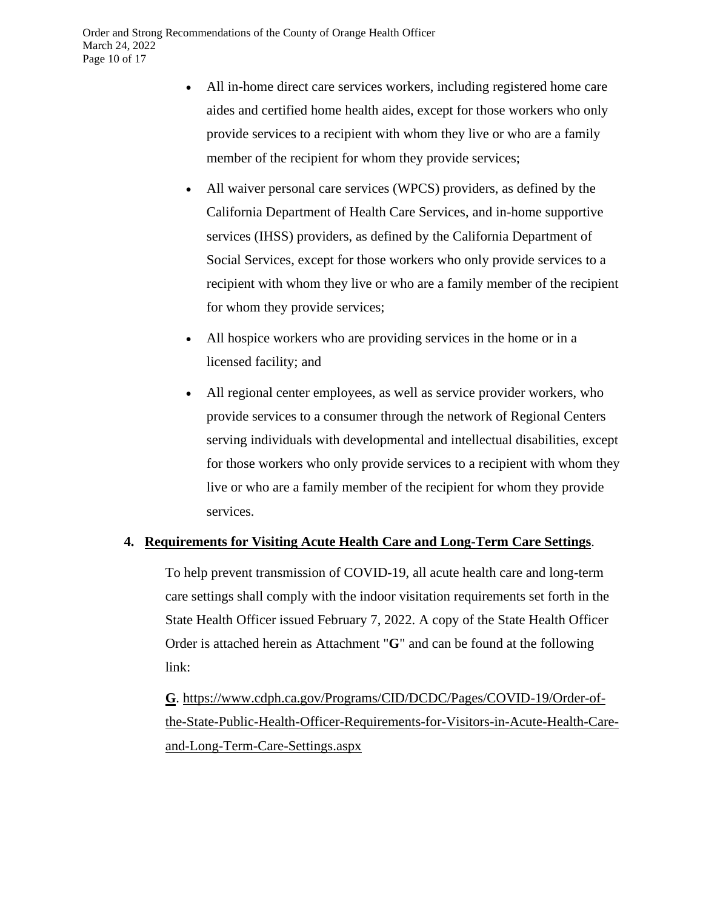- All in-home direct care services workers, including registered home care aides and certified home health aides, except for those workers who only provide services to a recipient with whom they live or who are a family member of the recipient for whom they provide services;
- All waiver personal care services (WPCS) providers, as defined by the California Department of Health Care Services, and in-home supportive services (IHSS) providers, as defined by the California Department of Social Services, except for those workers who only provide services to a recipient with whom they live or who are a family member of the recipient for whom they provide services;
- All hospice workers who are providing services in the home or in a licensed facility; and
- All regional center employees, as well as service provider workers, who provide services to a consumer through the network of Regional Centers serving individuals with developmental and intellectual disabilities, except for those workers who only provide services to a recipient with whom they live or who are a family member of the recipient for whom they provide services.

### **4. Requirements for Visiting Acute Health Care and Long-Term Care Settings**.

To help prevent transmission of COVID-19, all acute health care and long-term care settings shall comply with the indoor visitation requirements set forth in the State Health Officer issued February 7, 2022. A copy of the State Health Officer Order is attached herein as Attachment "**G**" and can be found at the following link:

**G**. [https://www.cdph.ca.gov/Programs/CID/DCDC/Pages/COVID-19/Order-of](https://www.cdph.ca.gov/Programs/CID/DCDC/Pages/COVID-19/Order-of-the-State-Public-Health-Officer-Requirements-for-Visitors-in-Acute-Health-Care-and-Long-Term-Care-Settings.aspx)[the-State-Public-Health-Officer-Requirements-for-Visitors-in-Acute-Health-Care](https://www.cdph.ca.gov/Programs/CID/DCDC/Pages/COVID-19/Order-of-the-State-Public-Health-Officer-Requirements-for-Visitors-in-Acute-Health-Care-and-Long-Term-Care-Settings.aspx)[and-Long-Term-Care-Settings.aspx](https://www.cdph.ca.gov/Programs/CID/DCDC/Pages/COVID-19/Order-of-the-State-Public-Health-Officer-Requirements-for-Visitors-in-Acute-Health-Care-and-Long-Term-Care-Settings.aspx)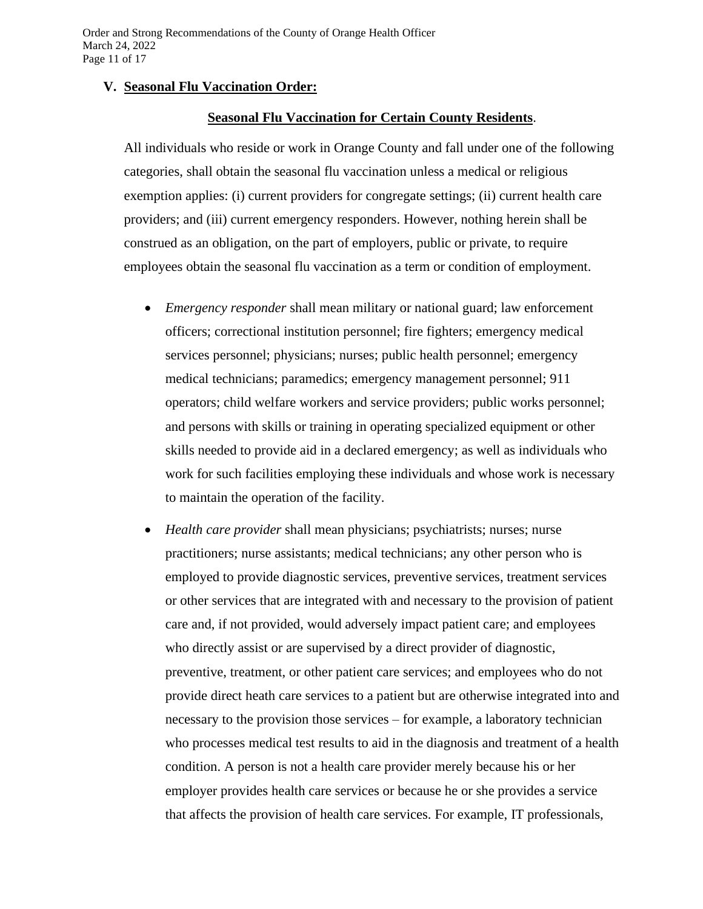#### **V. Seasonal Flu Vaccination Order:**

#### **Seasonal Flu Vaccination for Certain County Residents**.

All individuals who reside or work in Orange County and fall under one of the following categories, shall obtain the seasonal flu vaccination unless a medical or religious exemption applies: (i) current providers for congregate settings; (ii) current health care providers; and (iii) current emergency responders. However, nothing herein shall be construed as an obligation, on the part of employers, public or private, to require employees obtain the seasonal flu vaccination as a term or condition of employment.

- *Emergency responder* shall mean military or national guard; law enforcement officers; correctional institution personnel; fire fighters; emergency medical services personnel; physicians; nurses; public health personnel; emergency medical technicians; paramedics; emergency management personnel; 911 operators; child welfare workers and service providers; public works personnel; and persons with skills or training in operating specialized equipment or other skills needed to provide aid in a declared emergency; as well as individuals who work for such facilities employing these individuals and whose work is necessary to maintain the operation of the facility.
- *Health care provider* shall mean physicians; psychiatrists; nurses; nurse practitioners; nurse assistants; medical technicians; any other person who is employed to provide diagnostic services, preventive services, treatment services or other services that are integrated with and necessary to the provision of patient care and, if not provided, would adversely impact patient care; and employees who directly assist or are supervised by a direct provider of diagnostic, preventive, treatment, or other patient care services; and employees who do not provide direct heath care services to a patient but are otherwise integrated into and necessary to the provision those services – for example, a laboratory technician who processes medical test results to aid in the diagnosis and treatment of a health condition. A person is not a health care provider merely because his or her employer provides health care services or because he or she provides a service that affects the provision of health care services. For example, IT professionals,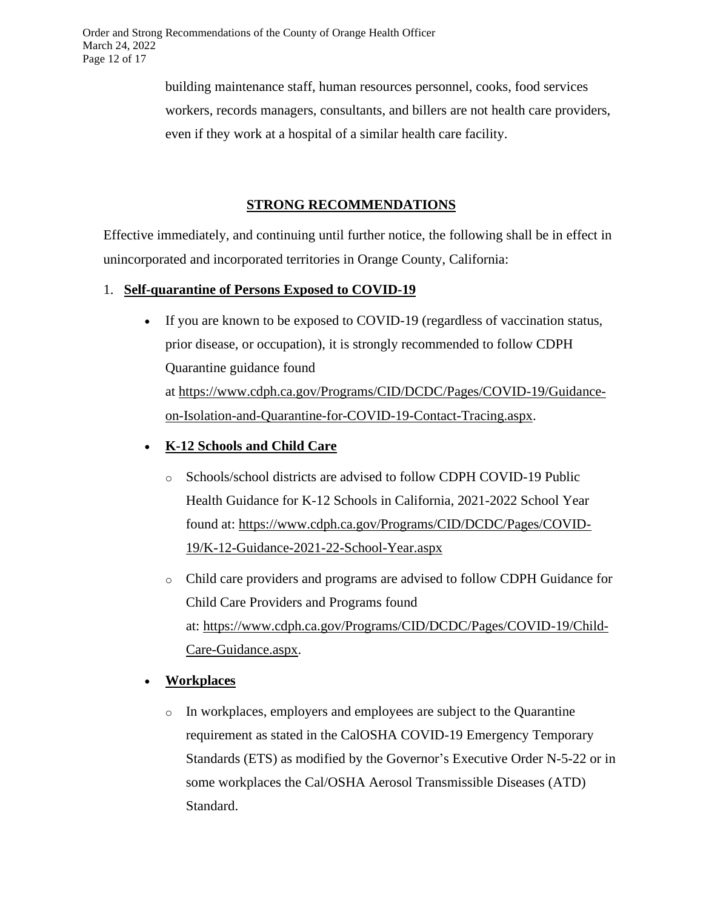building maintenance staff, human resources personnel, cooks, food services workers, records managers, consultants, and billers are not health care providers, even if they work at a hospital of a similar health care facility.

## **STRONG RECOMMENDATIONS**

Effective immediately, and continuing until further notice, the following shall be in effect in unincorporated and incorporated territories in Orange County, California:

## 1. **Self-quarantine of Persons Exposed to COVID-19**

• If you are known to be exposed to COVID-19 (regardless of vaccination status, prior disease, or occupation), it is strongly recommended to follow CDPH Quarantine guidance found at [https://www.cdph.ca.gov/Programs/CID/DCDC/Pages/COVID-19/Guidance](https://www.cdph.ca.gov/Programs/CID/DCDC/Pages/COVID-19/Guidance-on-Isolation-and-Quarantine-for-COVID-19-Contact-Tracing.aspx)[on-Isolation-and-Quarantine-for-COVID-19-Contact-Tracing.aspx.](https://www.cdph.ca.gov/Programs/CID/DCDC/Pages/COVID-19/Guidance-on-Isolation-and-Quarantine-for-COVID-19-Contact-Tracing.aspx)

## • **K-12 Schools and Child Care**

- o Schools/school districts are advised to follow CDPH COVID-19 Public Health Guidance for K-12 Schools in California, 2021-2022 School Year found at: [https://www.cdph.ca.gov/Programs/CID/DCDC/Pages/COVID-](https://www.cdph.ca.gov/Programs/CID/DCDC/Pages/COVID-19/K-12-Guidance-2021-22-School-Year.aspx)[19/K-12-Guidance-2021-22-School-Year.aspx](https://www.cdph.ca.gov/Programs/CID/DCDC/Pages/COVID-19/K-12-Guidance-2021-22-School-Year.aspx)
- o Child care providers and programs are advised to follow CDPH Guidance for Child Care Providers and Programs found at: [https://www.cdph.ca.gov/Programs/CID/DCDC/Pages/COVID-19/Child-](https://www.cdph.ca.gov/Programs/CID/DCDC/Pages/COVID-19/Child-Care-Guidance.aspx)[Care-Guidance.aspx.](https://www.cdph.ca.gov/Programs/CID/DCDC/Pages/COVID-19/Child-Care-Guidance.aspx)

## • **Workplaces**

o In workplaces, employers and employees are subject to the Quarantine requirement as stated in the CalOSHA COVID-19 Emergency Temporary Standards (ETS) as modified by the Governor's Executive Order N-5-22 or in some workplaces the Cal/OSHA Aerosol Transmissible Diseases (ATD) Standard.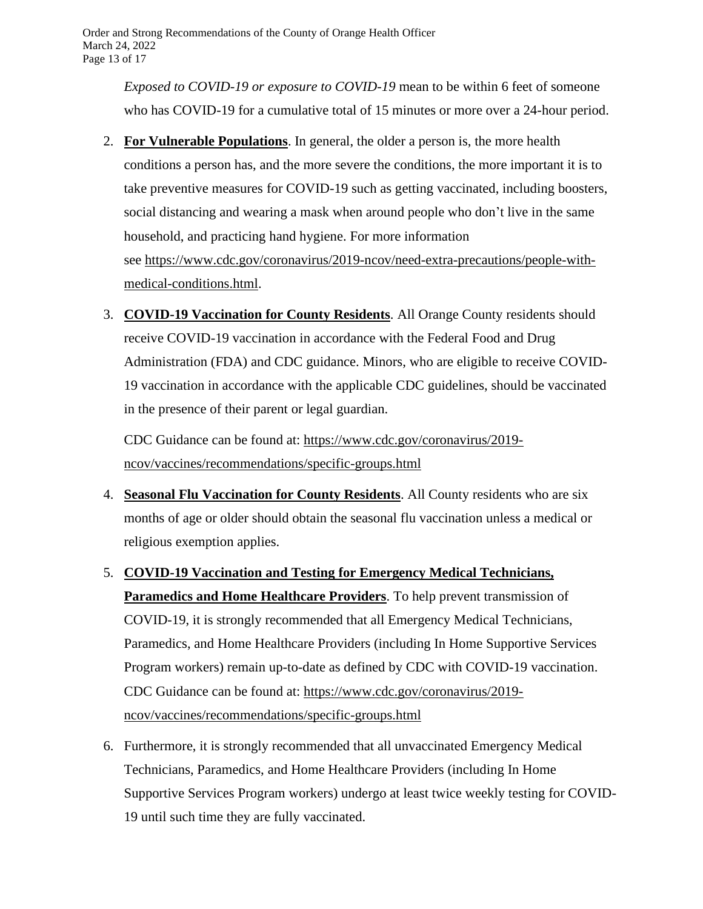*Exposed to COVID-19 or exposure to COVID-19* mean to be within 6 feet of someone who has COVID-19 for a cumulative total of 15 minutes or more over a 24-hour period.

- 2. **For Vulnerable Populations**. In general, the older a person is, the more health conditions a person has, and the more severe the conditions, the more important it is to take preventive measures for COVID-19 such as getting vaccinated, including boosters, social distancing and wearing a mask when around people who don't live in the same household, and practicing hand hygiene. For more information see [https://www.cdc.gov/coronavirus/2019-ncov/need-extra-precautions/people-with](https://www.cdc.gov/coronavirus/2019-ncov/need-extra-precautions/people-with-medical-conditions.html)[medical-conditions.html.](https://www.cdc.gov/coronavirus/2019-ncov/need-extra-precautions/people-with-medical-conditions.html)
- 3. **COVID-19 Vaccination for County Residents**. All Orange County residents should receive COVID-19 vaccination in accordance with the Federal Food and Drug Administration (FDA) and CDC guidance. Minors, who are eligible to receive COVID-19 vaccination in accordance with the applicable CDC guidelines, should be vaccinated in the presence of their parent or legal guardian.

CDC Guidance can be found at: [https://www.cdc.gov/coronavirus/2019](https://www.cdc.gov/coronavirus/2019-ncov/vaccines/recommendations/specific-groups.html) [ncov/vaccines/recommendations/specific-groups.html](https://www.cdc.gov/coronavirus/2019-ncov/vaccines/recommendations/specific-groups.html)

- 4. **Seasonal Flu Vaccination for County Residents**. All County residents who are six months of age or older should obtain the seasonal flu vaccination unless a medical or religious exemption applies.
- 5. **COVID-19 Vaccination and Testing for Emergency Medical Technicians, Paramedics and Home Healthcare Providers**. To help prevent transmission of COVID-19, it is strongly recommended that all Emergency Medical Technicians, Paramedics, and Home Healthcare Providers (including In Home Supportive Services Program workers) remain up-to-date as defined by CDC with COVID-19 vaccination. CDC Guidance can be found at: [https://www.cdc.gov/coronavirus/2019](https://www.cdc.gov/coronavirus/2019-ncov/vaccines/recommendations/specific-groups.html) [ncov/vaccines/recommendations/specific-groups.html](https://www.cdc.gov/coronavirus/2019-ncov/vaccines/recommendations/specific-groups.html)
- 6. Furthermore, it is strongly recommended that all unvaccinated Emergency Medical Technicians, Paramedics, and Home Healthcare Providers (including In Home Supportive Services Program workers) undergo at least twice weekly testing for COVID-19 until such time they are fully vaccinated.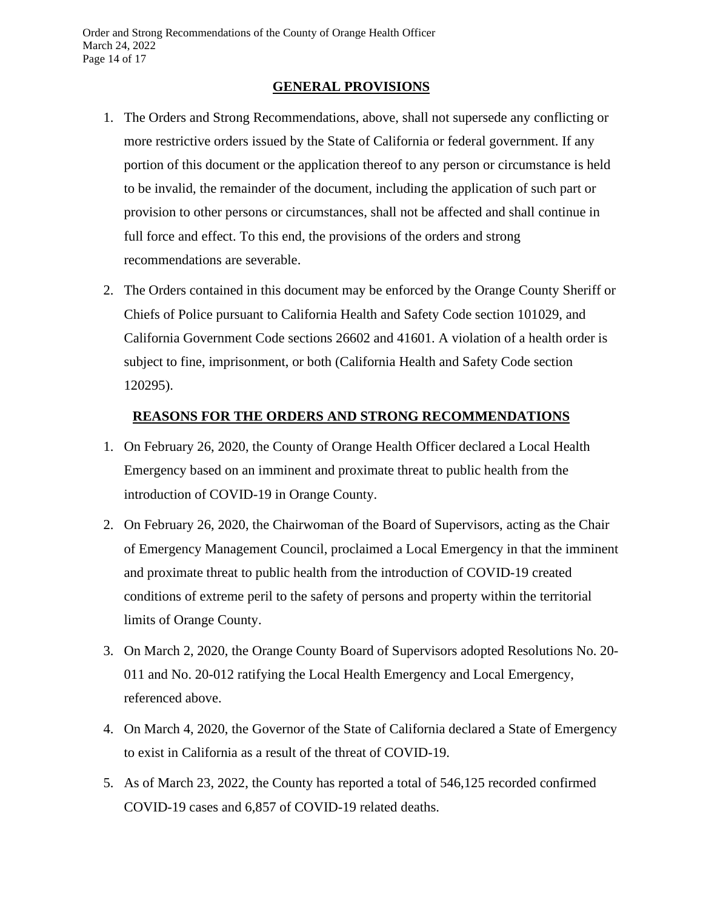### **GENERAL PROVISIONS**

- 1. The Orders and Strong Recommendations, above, shall not supersede any conflicting or more restrictive orders issued by the State of California or federal government. If any portion of this document or the application thereof to any person or circumstance is held to be invalid, the remainder of the document, including the application of such part or provision to other persons or circumstances, shall not be affected and shall continue in full force and effect. To this end, the provisions of the orders and strong recommendations are severable.
- 2. The Orders contained in this document may be enforced by the Orange County Sheriff or Chiefs of Police pursuant to California Health and Safety Code section 101029, and California Government Code sections 26602 and 41601. A violation of a health order is subject to fine, imprisonment, or both (California Health and Safety Code section 120295).

### **REASONS FOR THE ORDERS AND STRONG RECOMMENDATIONS**

- 1. On February 26, 2020, the County of Orange Health Officer declared a Local Health Emergency based on an imminent and proximate threat to public health from the introduction of COVID-19 in Orange County.
- 2. On February 26, 2020, the Chairwoman of the Board of Supervisors, acting as the Chair of Emergency Management Council, proclaimed a Local Emergency in that the imminent and proximate threat to public health from the introduction of COVID-19 created conditions of extreme peril to the safety of persons and property within the territorial limits of Orange County.
- 3. On March 2, 2020, the Orange County Board of Supervisors adopted Resolutions No. 20- 011 and No. 20-012 ratifying the Local Health Emergency and Local Emergency, referenced above.
- 4. On March 4, 2020, the Governor of the State of California declared a State of Emergency to exist in California as a result of the threat of COVID-19.
- 5. As of March 23, 2022, the County has reported a total of 546,125 recorded confirmed COVID-19 cases and 6,857 of COVID-19 related deaths.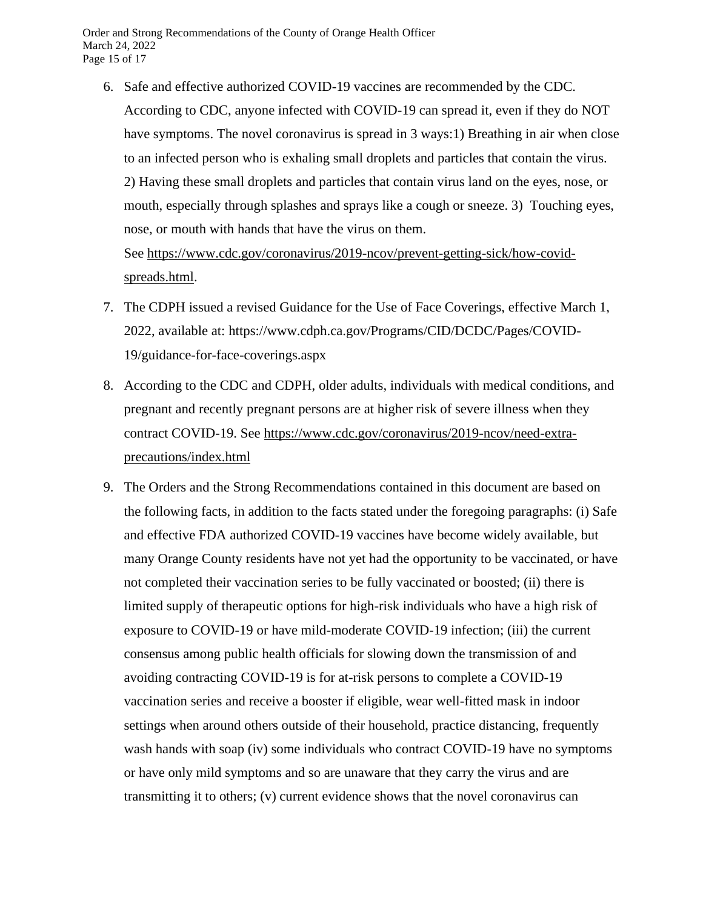6. Safe and effective authorized COVID-19 vaccines are recommended by the CDC. According to CDC, anyone infected with COVID-19 can spread it, even if they do NOT have symptoms. The novel coronavirus is spread in 3 ways:1) Breathing in air when close to an infected person who is exhaling small droplets and particles that contain the virus. 2) Having these small droplets and particles that contain virus land on the eyes, nose, or mouth, especially through splashes and sprays like a cough or sneeze. 3) Touching eyes, nose, or mouth with hands that have the virus on them.

See [https://www.cdc.gov/coronavirus/2019-ncov/prevent-getting-sick/how-covid](https://www.cdc.gov/coronavirus/2019-ncov/prevent-getting-sick/how-covid-spreads.html)[spreads.html.](https://www.cdc.gov/coronavirus/2019-ncov/prevent-getting-sick/how-covid-spreads.html)

- 7. The CDPH issued a revised Guidance for the Use of Face Coverings, effective March 1, 2022, available at: https://www.cdph.ca.gov/Programs/CID/DCDC/Pages/COVID-19/guidance-for-face-coverings.aspx
- 8. According to the CDC and CDPH, older adults, individuals with medical conditions, and pregnant and recently pregnant persons are at higher risk of severe illness when they contract COVID-19. See [https://www.cdc.gov/coronavirus/2019-ncov/need-extra](https://www.cdc.gov/coronavirus/2019-ncov/need-extra-precautions/index.html)[precautions/index.html](https://www.cdc.gov/coronavirus/2019-ncov/need-extra-precautions/index.html)
- 9. The Orders and the Strong Recommendations contained in this document are based on the following facts, in addition to the facts stated under the foregoing paragraphs: (i) Safe and effective FDA authorized COVID-19 vaccines have become widely available, but many Orange County residents have not yet had the opportunity to be vaccinated, or have not completed their vaccination series to be fully vaccinated or boosted; (ii) there is limited supply of therapeutic options for high-risk individuals who have a high risk of exposure to COVID-19 or have mild-moderate COVID-19 infection; (iii) the current consensus among public health officials for slowing down the transmission of and avoiding contracting COVID-19 is for at-risk persons to complete a COVID-19 vaccination series and receive a booster if eligible, wear well-fitted mask in indoor settings when around others outside of their household, practice distancing, frequently wash hands with soap (iv) some individuals who contract COVID-19 have no symptoms or have only mild symptoms and so are unaware that they carry the virus and are transmitting it to others; (v) current evidence shows that the novel coronavirus can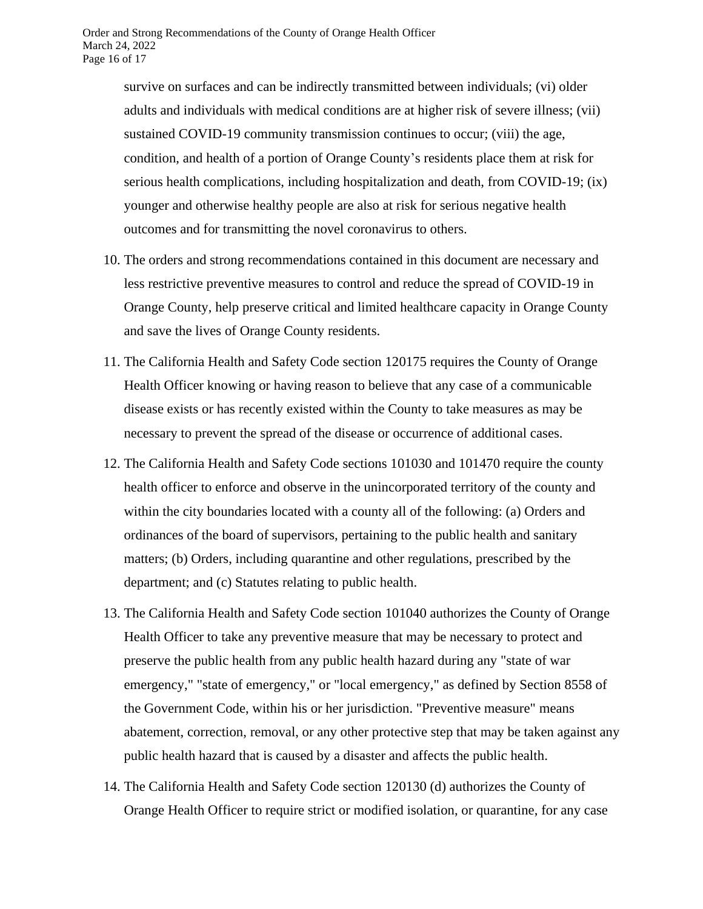survive on surfaces and can be indirectly transmitted between individuals; (vi) older adults and individuals with medical conditions are at higher risk of severe illness; (vii) sustained COVID-19 community transmission continues to occur; (viii) the age, condition, and health of a portion of Orange County's residents place them at risk for serious health complications, including hospitalization and death, from COVID-19; (ix) younger and otherwise healthy people are also at risk for serious negative health outcomes and for transmitting the novel coronavirus to others.

- 10. The orders and strong recommendations contained in this document are necessary and less restrictive preventive measures to control and reduce the spread of COVID-19 in Orange County, help preserve critical and limited healthcare capacity in Orange County and save the lives of Orange County residents.
- 11. The California Health and Safety Code section 120175 requires the County of Orange Health Officer knowing or having reason to believe that any case of a communicable disease exists or has recently existed within the County to take measures as may be necessary to prevent the spread of the disease or occurrence of additional cases.
- 12. The California Health and Safety Code sections 101030 and 101470 require the county health officer to enforce and observe in the unincorporated territory of the county and within the city boundaries located with a county all of the following: (a) Orders and ordinances of the board of supervisors, pertaining to the public health and sanitary matters; (b) Orders, including quarantine and other regulations, prescribed by the department; and (c) Statutes relating to public health.
- 13. The California Health and Safety Code section 101040 authorizes the County of Orange Health Officer to take any preventive measure that may be necessary to protect and preserve the public health from any public health hazard during any "state of war emergency," "state of emergency," or "local emergency," as defined by Section 8558 of the Government Code, within his or her jurisdiction. "Preventive measure" means abatement, correction, removal, or any other protective step that may be taken against any public health hazard that is caused by a disaster and affects the public health.
- 14. The California Health and Safety Code section 120130 (d) authorizes the County of Orange Health Officer to require strict or modified isolation, or quarantine, for any case